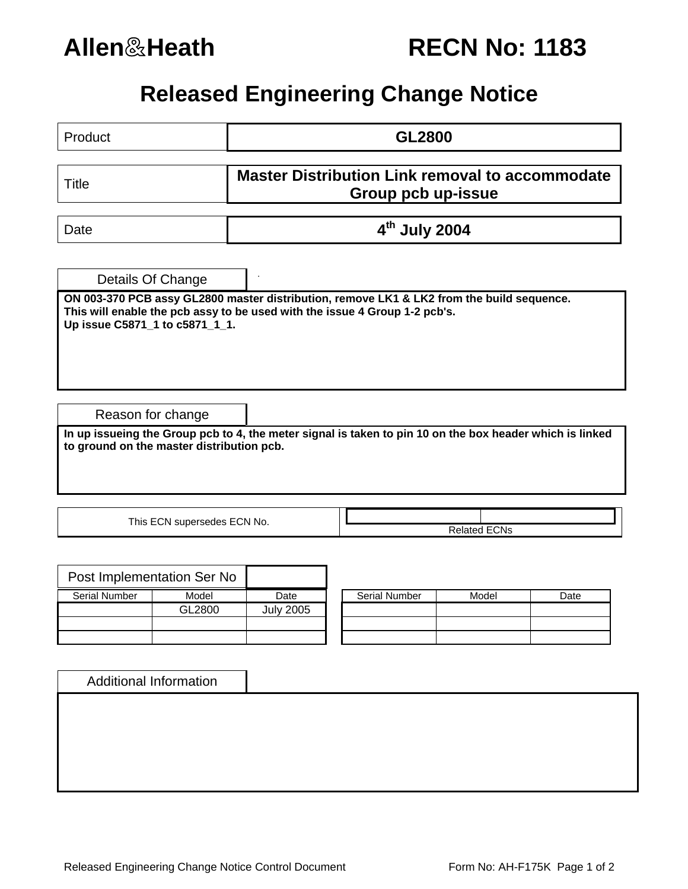

| <b>RECN No: 1183</b> |  |  |
|----------------------|--|--|
|----------------------|--|--|

## **Released Engineering Change Notice**

| Product                                                                                                                                               | <b>GL2800</b>                                                                                                                                                           |  |  |  |  |
|-------------------------------------------------------------------------------------------------------------------------------------------------------|-------------------------------------------------------------------------------------------------------------------------------------------------------------------------|--|--|--|--|
| Title                                                                                                                                                 | <b>Master Distribution Link removal to accommodate</b><br>Group pcb up-issue                                                                                            |  |  |  |  |
| Date                                                                                                                                                  | 4th July 2004                                                                                                                                                           |  |  |  |  |
| Details Of Change                                                                                                                                     |                                                                                                                                                                         |  |  |  |  |
| Up issue C5871_1 to c5871_1_1.                                                                                                                        | ON 003-370 PCB assy GL2800 master distribution, remove LK1 & LK2 from the build sequence.<br>This will enable the pcb assy to be used with the issue 4 Group 1-2 pcb's. |  |  |  |  |
| Reason for change                                                                                                                                     |                                                                                                                                                                         |  |  |  |  |
| In up issueing the Group pcb to 4, the meter signal is taken to pin 10 on the box header which is linked<br>to ground on the master distribution pcb. |                                                                                                                                                                         |  |  |  |  |
| This ECN supersedes ECN No.                                                                                                                           | <b>Related ECNs</b>                                                                                                                                                     |  |  |  |  |

|                      | Post Implementation Ser No |                  |                      |       |      |
|----------------------|----------------------------|------------------|----------------------|-------|------|
| <b>Serial Number</b> | Model                      | Date             | <b>Serial Number</b> | Model | Date |
|                      | GL2800                     | <b>July 2005</b> |                      |       |      |
|                      |                            |                  |                      |       |      |
|                      |                            |                  |                      |       |      |

| <b>Serial Number</b> | Model | Date |
|----------------------|-------|------|
|                      |       |      |
|                      |       |      |
|                      |       |      |

| <b>Additional Information</b> |  |  |  |
|-------------------------------|--|--|--|
|                               |  |  |  |
|                               |  |  |  |
|                               |  |  |  |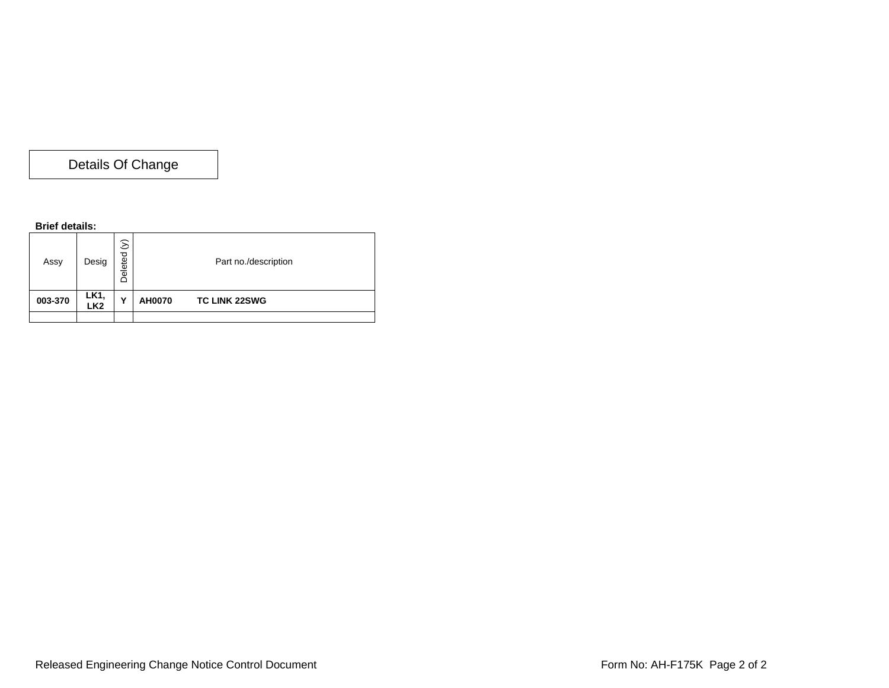Details Of Change

## **Brief details:**

| Assy    | Desig                                | $\Im$<br>Deleted | Part no./description |                      |
|---------|--------------------------------------|------------------|----------------------|----------------------|
| 003-370 | LK <sub>1</sub> ,<br>LK <sub>2</sub> | Υ                | <b>AH0070</b>        | <b>TC LINK 22SWG</b> |
|         |                                      |                  |                      |                      |